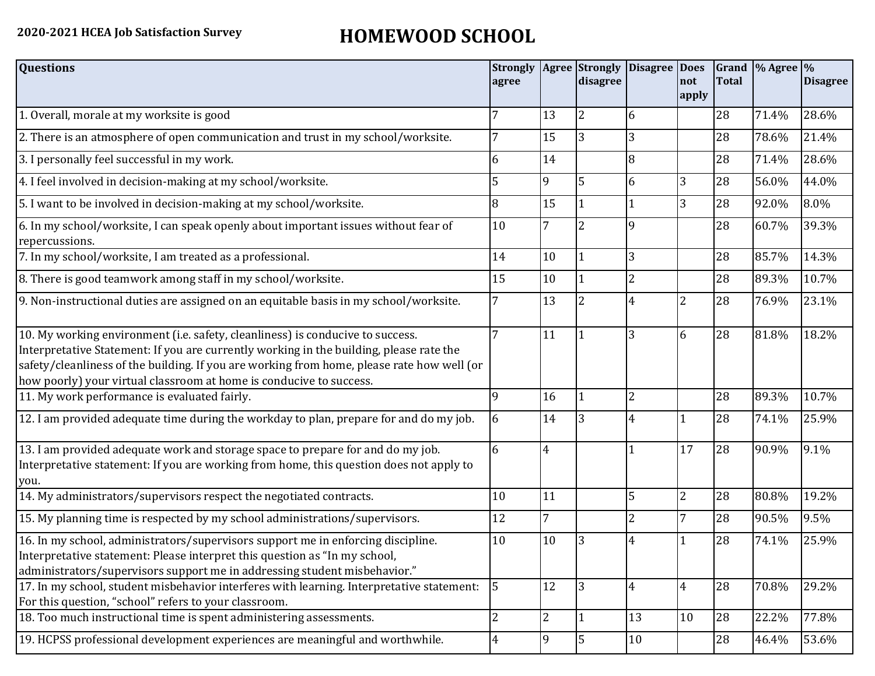## **2020-2021 HCEA Job Satisfaction Survey HOMEWOOD SCHOOL**

| <b>Questions</b>                                                                                                                                                                                                                                                                                                                               | <b>Strongly</b><br>agree |                | <b>Agree</b> Strongly<br>disagree | <b>Disagree</b> | <b>Does</b><br>not<br>apply | <b>Total</b> | Grand % Agree % | <b>Disagree</b> |
|------------------------------------------------------------------------------------------------------------------------------------------------------------------------------------------------------------------------------------------------------------------------------------------------------------------------------------------------|--------------------------|----------------|-----------------------------------|-----------------|-----------------------------|--------------|-----------------|-----------------|
| 1. Overall, morale at my worksite is good                                                                                                                                                                                                                                                                                                      |                          | 13             | 2                                 | 6               |                             | 28           | 71.4%           | 28.6%           |
| 2. There is an atmosphere of open communication and trust in my school/worksite.                                                                                                                                                                                                                                                               |                          | 15             | 3                                 | 3               |                             | 28           | 78.6%           | 21.4%           |
| 3. I personally feel successful in my work.                                                                                                                                                                                                                                                                                                    | 6                        | 14             |                                   | 8               |                             | 28           | 71.4%           | 28.6%           |
| 4. I feel involved in decision-making at my school/worksite.                                                                                                                                                                                                                                                                                   | 5                        | 9              | 5                                 | 6               | 3                           | 28           | 56.0%           | 44.0%           |
| 5. I want to be involved in decision-making at my school/worksite.                                                                                                                                                                                                                                                                             | 8                        | 15             |                                   |                 | 3                           | 28           | 92.0%           | 8.0%            |
| 6. In my school/worksite, I can speak openly about important issues without fear of<br>repercussions.                                                                                                                                                                                                                                          | 10                       |                | $\overline{2}$                    | 9               |                             | 28           | 60.7%           | 39.3%           |
| 7. In my school/worksite, I am treated as a professional.                                                                                                                                                                                                                                                                                      | 14                       | 10             |                                   | 3               |                             | 28           | 85.7%           | 14.3%           |
| 8. There is good teamwork among staff in my school/worksite.                                                                                                                                                                                                                                                                                   | 15                       | 10             |                                   | $\overline{2}$  |                             | 28           | 89.3%           | 10.7%           |
| 9. Non-instructional duties are assigned on an equitable basis in my school/worksite.                                                                                                                                                                                                                                                          | 7                        | 13             | 2                                 | 4               | $\overline{2}$              | 28           | 76.9%           | 23.1%           |
| 10. My working environment (i.e. safety, cleanliness) is conducive to success.<br>Interpretative Statement: If you are currently working in the building, please rate the<br>safety/cleanliness of the building. If you are working from home, please rate how well (or<br>how poorly) your virtual classroom at home is conducive to success. | 7                        | 11             | 1                                 | 3               | 6                           | 28           | 81.8%           | 18.2%           |
| 11. My work performance is evaluated fairly.                                                                                                                                                                                                                                                                                                   | 9                        | 16             |                                   | 2               |                             | 28           | 89.3%           | 10.7%           |
| 12. I am provided adequate time during the workday to plan, prepare for and do my job.                                                                                                                                                                                                                                                         | 6                        | 14             | 3                                 | 4               |                             | 28           | 74.1%           | 25.9%           |
| 13. I am provided adequate work and storage space to prepare for and do my job.<br>Interpretative statement: If you are working from home, this question does not apply to<br>you.                                                                                                                                                             | 6                        | 4              |                                   |                 | 17                          | 28           | 90.9%           | 9.1%            |
| 14. My administrators/supervisors respect the negotiated contracts.                                                                                                                                                                                                                                                                            | 10                       | 11             |                                   | 5               | $\overline{2}$              | 28           | 80.8%           | 19.2%           |
| 15. My planning time is respected by my school administrations/supervisors.                                                                                                                                                                                                                                                                    | 12                       | 7              |                                   | 2               | 7                           | 28           | 90.5%           | 9.5%            |
| 16. In my school, administrators/supervisors support me in enforcing discipline.<br>Interpretative statement: Please interpret this question as "In my school,<br>administrators/supervisors support me in addressing student misbehavior."                                                                                                    | 10                       | 10             | 3                                 |                 |                             | 28           | 74.1%           | 25.9%           |
| 17. In my school, student misbehavior interferes with learning. Interpretative statement:<br>For this question, "school" refers to your classroom.                                                                                                                                                                                             | 5                        | 12             | 3                                 | 4               | $\overline{4}$              | 28           | 70.8%           | 29.2%           |
| 18. Too much instructional time is spent administering assessments.                                                                                                                                                                                                                                                                            | $\overline{2}$           | $\overline{2}$ | 1                                 | 13              | 10                          | 28           | 22.2%           | 77.8%           |
| 19. HCPSS professional development experiences are meaningful and worthwhile.                                                                                                                                                                                                                                                                  | 4                        | 9              | 5                                 | 10              |                             | 28           | 46.4%           | 53.6%           |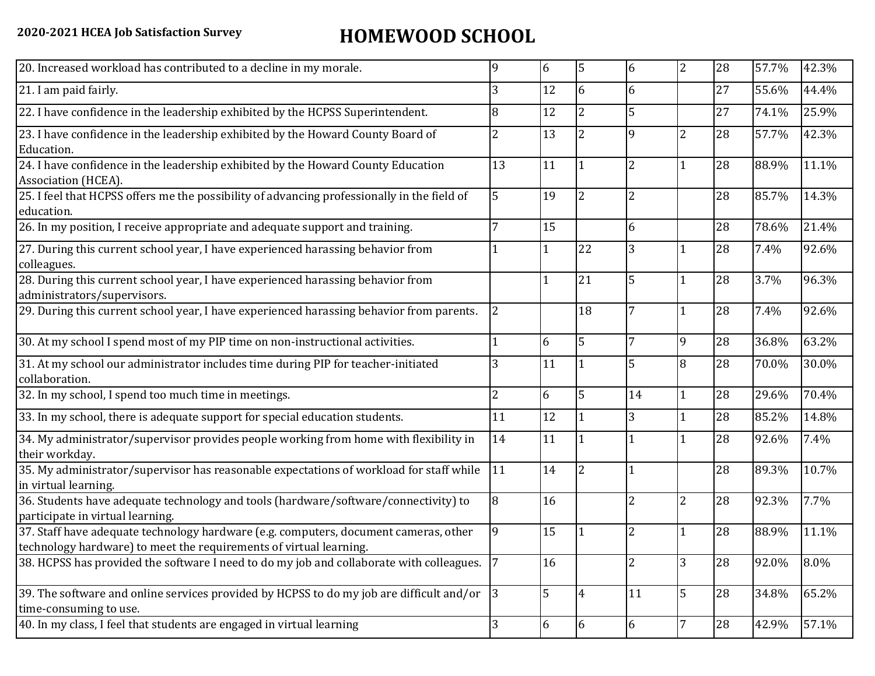## **2020-2021 HCEA Job Satisfaction Survey HOMEWOOD SCHOOL**

| 20. Increased workload has contributed to a decline in my morale.                                                                                          | q              | 6  | 5              | 6              | $\overline{2}$ | 28 | 57.7% | 42.3% |
|------------------------------------------------------------------------------------------------------------------------------------------------------------|----------------|----|----------------|----------------|----------------|----|-------|-------|
| 21. I am paid fairly.                                                                                                                                      | 3              | 12 | 6              | 6              |                | 27 | 55.6% | 44.4% |
| 22. I have confidence in the leadership exhibited by the HCPSS Superintendent.                                                                             | 8              | 12 | $\overline{2}$ | 5              |                | 27 | 74.1% | 25.9% |
| 23. I have confidence in the leadership exhibited by the Howard County Board of<br>Education.                                                              | 2              | 13 | 2              | q              | $\overline{2}$ | 28 | 57.7% | 42.3% |
| 24. I have confidence in the leadership exhibited by the Howard County Education<br>Association (HCEA).                                                    | 13             | 11 |                | $\overline{2}$ |                | 28 | 88.9% | 11.1% |
| 25. I feel that HCPSS offers me the possibility of advancing professionally in the field of<br>education.                                                  | 5              | 19 | 2              | 2              |                | 28 | 85.7% | 14.3% |
| 26. In my position, I receive appropriate and adequate support and training.                                                                               |                | 15 |                | 6              |                | 28 | 78.6% | 21.4% |
| 27. During this current school year, I have experienced harassing behavior from<br>colleagues.                                                             |                | 1  | 22             | 3              |                | 28 | 7.4%  | 92.6% |
| 28. During this current school year, I have experienced harassing behavior from<br>administrators/supervisors.                                             |                |    | 21             | 5              |                | 28 | 3.7%  | 96.3% |
| 29. During this current school year, I have experienced harassing behavior from parents.                                                                   | $\overline{2}$ |    | 18             |                |                | 28 | 7.4%  | 92.6% |
| 30. At my school I spend most of my PIP time on non-instructional activities.                                                                              |                | 6  | 5              | 7              | 9              | 28 | 36.8% | 63.2% |
| 31. At my school our administrator includes time during PIP for teacher-initiated<br>collaboration.                                                        | 3              | 11 |                | 5              | 8              | 28 | 70.0% | 30.0% |
| 32. In my school, I spend too much time in meetings.                                                                                                       | 2              | 6  | 5              | 14             |                | 28 | 29.6% | 70.4% |
| 33. In my school, there is adequate support for special education students.                                                                                | 11             | 12 |                | 3              |                | 28 | 85.2% | 14.8% |
| 34. My administrator/supervisor provides people working from home with flexibility in<br>their workday.                                                    | 14             | 11 |                |                |                | 28 | 92.6% | 7.4%  |
| 35. My administrator/supervisor has reasonable expectations of workload for staff while<br>in virtual learning.                                            | 11             | 14 | $\overline{2}$ |                |                | 28 | 89.3% | 10.7% |
| 36. Students have adequate technology and tools (hardware/software/connectivity) to<br>participate in virtual learning.                                    | 8              | 16 |                | $\overline{2}$ | $\overline{2}$ | 28 | 92.3% | 7.7%  |
| 37. Staff have adequate technology hardware (e.g. computers, document cameras, other<br>technology hardware) to meet the requirements of virtual learning. | 9              | 15 |                | 2              |                | 28 | 88.9% | 11.1% |
| 38. HCPSS has provided the software I need to do my job and collaborate with colleagues.                                                                   | 17             | 16 |                | 2              | 3              | 28 | 92.0% | 8.0%  |
| 39. The software and online services provided by HCPSS to do my job are difficult and/or<br>time-consuming to use.                                         | $\vert$ 3      | 5  | $\overline{4}$ | 11             | $\overline{5}$ | 28 | 34.8% | 65.2% |
| 40. In my class, I feel that students are engaged in virtual learning                                                                                      | 3              | 6  | 6              | 6              |                | 28 | 42.9% | 57.1% |